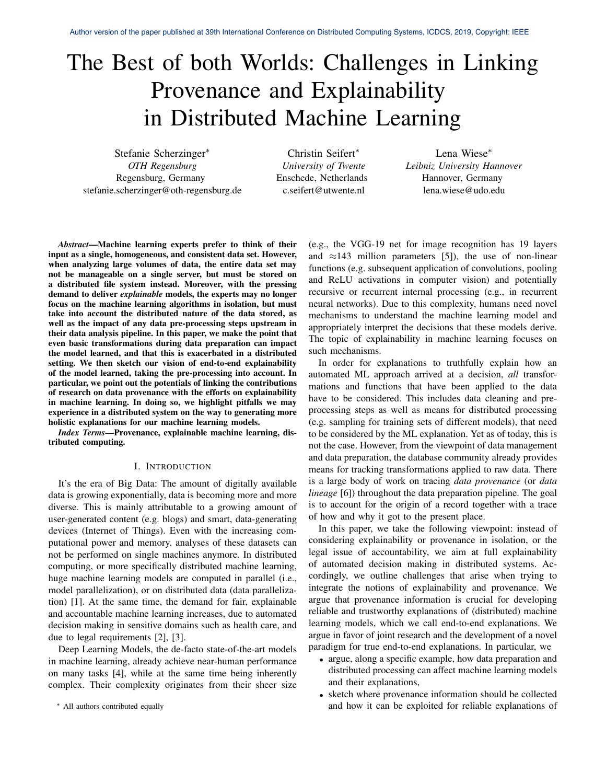# The Best of both Worlds: Challenges in Linking Provenance and Explainability in Distributed Machine Learning

Stefanie Scherzinger<sup>∗</sup> *OTH Regensburg* Regensburg, Germany stefanie.scherzinger@oth-regensburg.de

Christin Seifert<sup>∗</sup> *University of Twente* Enschede, Netherlands c.seifert@utwente.nl

Lena Wiese<sup>∗</sup> *Leibniz University Hannover* Hannover, Germany lena.wiese@udo.edu

*Abstract*—Machine learning experts prefer to think of their input as a single, homogeneous, and consistent data set. However, when analyzing large volumes of data, the entire data set may not be manageable on a single server, but must be stored on a distributed file system instead. Moreover, with the pressing demand to deliver *explainable* models, the experts may no longer focus on the machine learning algorithms in isolation, but must take into account the distributed nature of the data stored, as well as the impact of any data pre-processing steps upstream in their data analysis pipeline. In this paper, we make the point that even basic transformations during data preparation can impact the model learned, and that this is exacerbated in a distributed setting. We then sketch our vision of end-to-end explainability of the model learned, taking the pre-processing into account. In particular, we point out the potentials of linking the contributions of research on data provenance with the efforts on explainability in machine learning. In doing so, we highlight pitfalls we may experience in a distributed system on the way to generating more holistic explanations for our machine learning models.

*Index Terms*—Provenance, explainable machine learning, distributed computing.

#### I. INTRODUCTION

It's the era of Big Data: The amount of digitally available data is growing exponentially, data is becoming more and more diverse. This is mainly attributable to a growing amount of user-generated content (e.g. blogs) and smart, data-generating devices (Internet of Things). Even with the increasing computational power and memory, analyses of these datasets can not be performed on single machines anymore. In distributed computing, or more specifically distributed machine learning, huge machine learning models are computed in parallel (i.e., model parallelization), or on distributed data (data parallelization) [1]. At the same time, the demand for fair, explainable and accountable machine learning increases, due to automated decision making in sensitive domains such as health care, and due to legal requirements [2], [3].

Deep Learning Models, the de-facto state-of-the-art models in machine learning, already achieve near-human performance on many tasks [4], while at the same time being inherently complex. Their complexity originates from their sheer size

<sup>∗</sup> All authors contributed equally

(e.g., the VGG-19 net for image recognition has 19 layers and  $\approx$ 143 million parameters [5]), the use of non-linear functions (e.g. subsequent application of convolutions, pooling and ReLU activations in computer vision) and potentially recursive or recurrent internal processing (e.g., in recurrent neural networks). Due to this complexity, humans need novel mechanisms to understand the machine learning model and appropriately interpret the decisions that these models derive. The topic of explainability in machine learning focuses on such mechanisms.

In order for explanations to truthfully explain how an automated ML approach arrived at a decision, *all* transformations and functions that have been applied to the data have to be considered. This includes data cleaning and preprocessing steps as well as means for distributed processing (e.g. sampling for training sets of different models), that need to be considered by the ML explanation. Yet as of today, this is not the case. However, from the viewpoint of data management and data preparation, the database community already provides means for tracking transformations applied to raw data. There is a large body of work on tracing *data provenance* (or *data lineage* [6]) throughout the data preparation pipeline. The goal is to account for the origin of a record together with a trace of how and why it got to the present place.

In this paper, we take the following viewpoint: instead of considering explainability or provenance in isolation, or the legal issue of accountability, we aim at full explainability of automated decision making in distributed systems. Accordingly, we outline challenges that arise when trying to integrate the notions of explainability and provenance. We argue that provenance information is crucial for developing reliable and trustworthy explanations of (distributed) machine learning models, which we call end-to-end explanations. We argue in favor of joint research and the development of a novel paradigm for true end-to-end explanations. In particular, we

- argue, along a specific example, how data preparation and distributed processing can affect machine learning models and their explanations,
- sketch where provenance information should be collected and how it can be exploited for reliable explanations of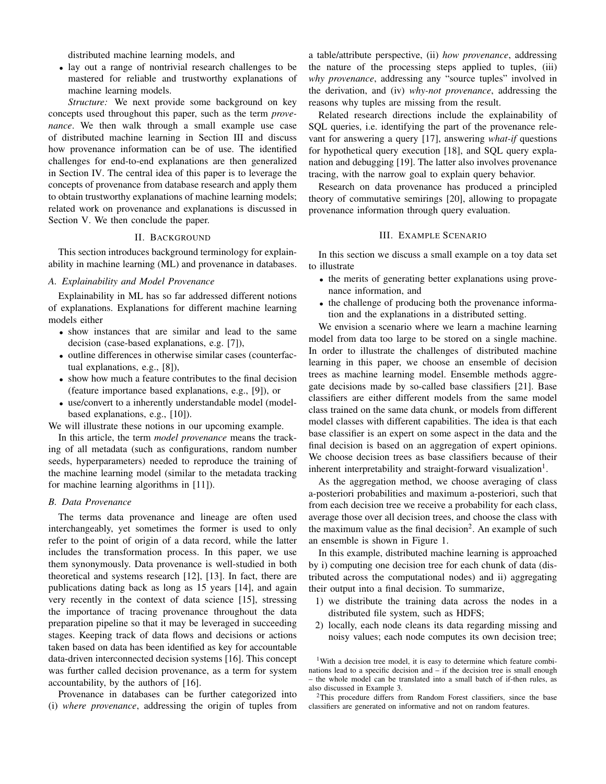distributed machine learning models, and

• lay out a range of nontrivial research challenges to be mastered for reliable and trustworthy explanations of machine learning models.

*Structure:* We next provide some background on key concepts used throughout this paper, such as the term *provenance*. We then walk through a small example use case of distributed machine learning in Section III and discuss how provenance information can be of use. The identified challenges for end-to-end explanations are then generalized in Section IV. The central idea of this paper is to leverage the concepts of provenance from database research and apply them to obtain trustworthy explanations of machine learning models; related work on provenance and explanations is discussed in Section V. We then conclude the paper.

#### II. BACKGROUND

This section introduces background terminology for explainability in machine learning (ML) and provenance in databases.

#### *A. Explainability and Model Provenance*

Explainability in ML has so far addressed different notions of explanations. Explanations for different machine learning models either

- show instances that are similar and lead to the same decision (case-based explanations, e.g. [7]),
- outline differences in otherwise similar cases (counterfactual explanations, e.g., [8]),
- show how much a feature contributes to the final decision (feature importance based explanations, e.g., [9]), or
- use/convert to a inherently understandable model (modelbased explanations, e.g., [10]).

We will illustrate these notions in our upcoming example.

In this article, the term *model provenance* means the tracking of all metadata (such as configurations, random number seeds, hyperparameters) needed to reproduce the training of the machine learning model (similar to the metadata tracking for machine learning algorithms in [11]).

#### *B. Data Provenance*

The terms data provenance and lineage are often used interchangeably, yet sometimes the former is used to only refer to the point of origin of a data record, while the latter includes the transformation process. In this paper, we use them synonymously. Data provenance is well-studied in both theoretical and systems research [12], [13]. In fact, there are publications dating back as long as 15 years [14], and again very recently in the context of data science [15], stressing the importance of tracing provenance throughout the data preparation pipeline so that it may be leveraged in succeeding stages. Keeping track of data flows and decisions or actions taken based on data has been identified as key for accountable data-driven interconnected decision systems [16]. This concept was further called decision provenance, as a term for system accountability, by the authors of [16].

Provenance in databases can be further categorized into (i) *where provenance*, addressing the origin of tuples from

a table/attribute perspective, (ii) *how provenance*, addressing the nature of the processing steps applied to tuples, (iii) *why provenance*, addressing any "source tuples" involved in the derivation, and (iv) *why-not provenance*, addressing the reasons why tuples are missing from the result.

Related research directions include the explainability of SQL queries, i.e. identifying the part of the provenance relevant for answering a query [17], answering *what-if* questions for hypothetical query execution [18], and SQL query explanation and debugging [19]. The latter also involves provenance tracing, with the narrow goal to explain query behavior.

Research on data provenance has produced a principled theory of commutative semirings [20], allowing to propagate provenance information through query evaluation.

## III. EXAMPLE SCENARIO

In this section we discuss a small example on a toy data set to illustrate

- the merits of generating better explanations using provenance information, and
- the challenge of producing both the provenance information and the explanations in a distributed setting.

We envision a scenario where we learn a machine learning model from data too large to be stored on a single machine. In order to illustrate the challenges of distributed machine learning in this paper, we choose an ensemble of decision trees as machine learning model. Ensemble methods aggregate decisions made by so-called base classifiers [21]. Base classifiers are either different models from the same model class trained on the same data chunk, or models from different model classes with different capabilities. The idea is that each base classifier is an expert on some aspect in the data and the final decision is based on an aggregation of expert opinions. We choose decision trees as base classifiers because of their inherent interpretability and straight-forward visualization<sup>1</sup>.

As the aggregation method, we choose averaging of class a-posteriori probabilities and maximum a-posteriori, such that from each decision tree we receive a probability for each class, average those over all decision trees, and choose the class with the maximum value as the final decision<sup>2</sup>. An example of such an ensemble is shown in Figure 1.

In this example, distributed machine learning is approached by i) computing one decision tree for each chunk of data (distributed across the computational nodes) and ii) aggregating their output into a final decision. To summarize,

- 1) we distribute the training data across the nodes in a distributed file system, such as HDFS;
- 2) locally, each node cleans its data regarding missing and noisy values; each node computes its own decision tree;

<sup>1</sup>With a decision tree model, it is easy to determine which feature combinations lead to a specific decision and – if the decision tree is small enough the whole model can be translated into a small batch of if-then rules, as also discussed in Example 3.

<sup>2</sup>This procedure differs from Random Forest classifiers, since the base classifiers are generated on informative and not on random features.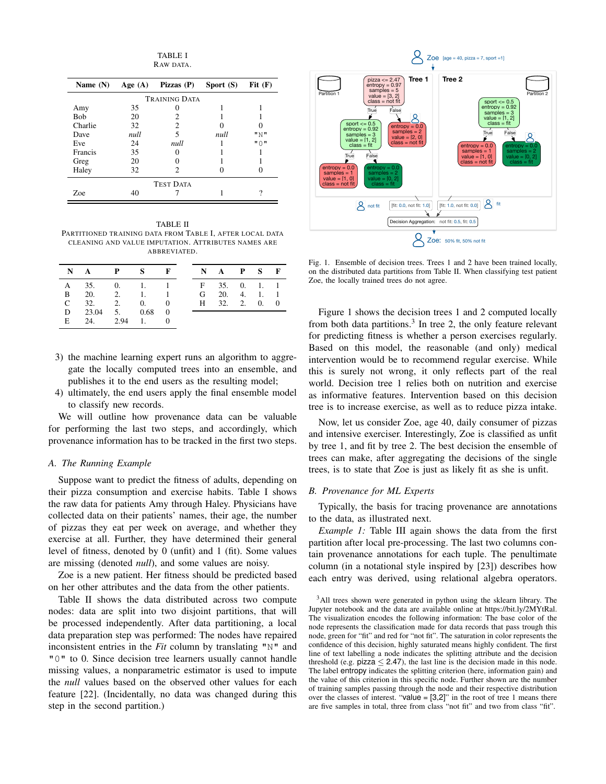TABLE I RAW DATA.

| Name $(N)$       | Age $(A)$ | Pizzas $(P)$ | Sport (S) | Fit(F) |  |  |  |  |
|------------------|-----------|--------------|-----------|--------|--|--|--|--|
| TRAINING DATA    |           |              |           |        |  |  |  |  |
| Amy              | 35        |              |           |        |  |  |  |  |
| <b>Bob</b>       | 20        | 2            |           |        |  |  |  |  |
| Charlie          | 32        | 2            |           |        |  |  |  |  |
| Dave             | null      | 5            | null      | " N "  |  |  |  |  |
| Eve              | 24        | null         |           | "∩ "   |  |  |  |  |
| Francis          | 35        |              |           |        |  |  |  |  |
| Greg             | 20        |              |           |        |  |  |  |  |
| Haley            | 32        | 2            |           |        |  |  |  |  |
| <b>TEST DATA</b> |           |              |           |        |  |  |  |  |
| Zoe              | 40        |              |           | 9      |  |  |  |  |

TABLE II PARTITIONED TRAINING DATA FROM TABLE I, AFTER LOCAL DATA CLEANING AND VALUE IMPUTATION. ATTRIBUTES NAMES ARE ABBREVIATED.

| NAPS FNAPS F                |  |  |               |  |  |
|-----------------------------|--|--|---------------|--|--|
| A 35, 0, 1, 1 F 35, 0, 1, 1 |  |  |               |  |  |
| B 20 2 1 1 G 20 4 1 1       |  |  |               |  |  |
| $C = 32.$ 2. 0. 0           |  |  | H 32, 2, 0, 0 |  |  |
| D $23.04$ 5. $0.68$ 0       |  |  |               |  |  |
| E 24. 2.94 1. 0             |  |  |               |  |  |

- 3) the machine learning expert runs an algorithm to aggregate the locally computed trees into an ensemble, and publishes it to the end users as the resulting model;
- 4) ultimately, the end users apply the final ensemble model to classify new records.

We will outline how provenance data can be valuable for performing the last two steps, and accordingly, which provenance information has to be tracked in the first two steps.

#### *A. The Running Example*

Suppose want to predict the fitness of adults, depending on their pizza consumption and exercise habits. Table I shows the raw data for patients Amy through Haley. Physicians have collected data on their patients' names, their age, the number of pizzas they eat per week on average, and whether they exercise at all. Further, they have determined their general level of fitness, denoted by 0 (unfit) and 1 (fit). Some values are missing (denoted *null*), and some values are noisy.

Zoe is a new patient. Her fitness should be predicted based on her other attributes and the data from the other patients.

Table II shows the data distributed across two compute nodes: data are split into two disjoint partitions, that will be processed independently. After data partitioning, a local data preparation step was performed: The nodes have repaired inconsistent entries in the *Fit* column by translating "N" and "0" to 0. Since decision tree learners usually cannot handle missing values, a nonparametric estimator is used to impute the *null* values based on the observed other values for each feature [22]. (Incidentally, no data was changed during this step in the second partition.)



Fig. 1. Ensemble of decision trees. Trees 1 and 2 have been trained locally, on the distributed data partitions from Table II. When classifying test patient Zoe, the locally trained trees do not agree.

Figure 1 shows the decision trees 1 and 2 computed locally from both data partitions. $3$  In tree 2, the only feature relevant for predicting fitness is whether a person exercises regularly. Based on this model, the reasonable (and only) medical intervention would be to recommend regular exercise. While this is surely not wrong, it only reflects part of the real world. Decision tree 1 relies both on nutrition and exercise as informative features. Intervention based on this decision tree is to increase exercise, as well as to reduce pizza intake.

Now, let us consider Zoe, age 40, daily consumer of pizzas and intensive exerciser. Interestingly, Zoe is classified as unfit by tree 1, and fit by tree 2. The best decision the ensemble of trees can make, after aggregating the decisions of the single trees, is to state that Zoe is just as likely fit as she is unfit.

#### *B. Provenance for ML Experts*

Typically, the basis for tracing provenance are annotations to the data, as illustrated next.

*Example 1:* Table III again shows the data from the first partition after local pre-processing. The last two columns contain provenance annotations for each tuple. The penultimate column (in a notational style inspired by [23]) describes how each entry was derived, using relational algebra operators.

<sup>&</sup>lt;sup>3</sup>All trees shown were generated in python using the sklearn library. The Jupyter notebook and the data are available online at https://bit.ly/2MYtRal. The visualization encodes the following information: The base color of the node represents the classification made for data records that pass trough this node, green for "fit" and red for "not fit". The saturation in color represents the confidence of this decision, highly saturated means highly confident. The first line of text labelling a node indicates the splitting attribute and the decision threshold (e.g.  $\pi$ ) pizza  $\leq$  2.47), the last line is the decision made in this node. The label entropy indicates the splitting criterion (here, information gain) and the value of this criterion in this specific node. Further shown are the number of training samples passing through the node and their respective distribution over the classes of interest. "value  $=[3,2]$ " in the root of tree 1 means there are five samples in total, three from class "not fit" and two from class "fit".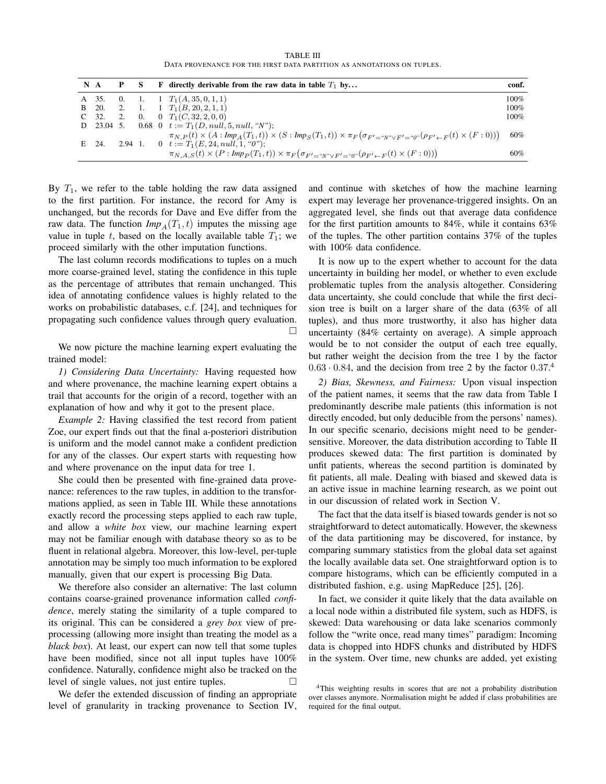TABLE III DATA PROVENANCE FOR THE FIRST DATA PARTITION AS ANNOTATIONS ON TUPLES.

| $N \, A$ |       |  | F directly derivable from the raw data in table $T_1$ by                                                                                                                                                 | conf. |
|----------|-------|--|----------------------------------------------------------------------------------------------------------------------------------------------------------------------------------------------------------|-------|
|          |       |  | A 35. 0. 1. 1 $T_1(A, 35, 0, 1, 1)$                                                                                                                                                                      | 100%  |
|          |       |  | B 20. 2. 1. 1 $T_1(B, 20, 2, 1, 1)$                                                                                                                                                                      | 100%  |
|          |       |  | C 32. 2. 0. 0 $T_1(C, 32, 2, 0, 0)$                                                                                                                                                                      | 100%  |
|          |       |  | D 23.04 5. 0.68 0 $t := T_1(D, null, 5, null, "N")$ ;                                                                                                                                                    |       |
|          | E 24. |  | $\pi_{N,P}(t) \times (A : Imp_A(T_1,t)) \times (S : Imp_S(T_1,t)) \times \pi_F(\sigma_{F'=W'' \vee F'=0} \circ (\rho_{F' \leftarrow F}(t) \times (F:0)))$<br>2.94 1. 0 $t := T_1(E, 24, null, 1, "0")$ ; | 60%   |
|          |       |  | $\pi_{N,A,S}(t) \times (P: Imp_P(T_1,t)) \times \pi_F(\sigma_{F'=``N''\vee F' = "0"}(\rho_{F'\leftarrow F}(t) \times (F:0)))$                                                                            | 60%   |

By  $T_1$ , we refer to the table holding the raw data assigned to the first partition. For instance, the record for Amy is unchanged, but the records for Dave and Eve differ from the raw data. The function  $Imp_A(T_1, t)$  imputes the missing age value in tuple t, based on the locally available table  $T_1$ ; we proceed similarly with the other imputation functions.

The last column records modifications to tuples on a much more coarse-grained level, stating the confidence in this tuple as the percentage of attributes that remain unchanged. This idea of annotating confidence values is highly related to the works on probabilistic databases, c.f. [24], and techniques for propagating such confidence values through query evaluation.  $\Box$ 

We now picture the machine learning expert evaluating the trained model:

*1) Considering Data Uncertainty:* Having requested how and where provenance, the machine learning expert obtains a trail that accounts for the origin of a record, together with an explanation of how and why it got to the present place.

*Example 2:* Having classified the test record from patient Zoe, our expert finds out that the final a-posteriori distribution is uniform and the model cannot make a confident prediction for any of the classes. Our expert starts with requesting how and where provenance on the input data for tree 1.

She could then be presented with fine-grained data provenance: references to the raw tuples, in addition to the transformations applied, as seen in Table III. While these annotations exactly record the processing steps applied to each raw tuple, and allow a *white box* view, our machine learning expert may not be familiar enough with database theory so as to be fluent in relational algebra. Moreover, this low-level, per-tuple annotation may be simply too much information to be explored manually, given that our expert is processing Big Data.

We therefore also consider an alternative: The last column contains coarse-grained provenance information called *confidence*, merely stating the similarity of a tuple compared to its original. This can be considered a *grey box* view of preprocessing (allowing more insight than treating the model as a *black box*). At least, our expert can now tell that some tuples have been modified, since not all input tuples have  $100\%$ confidence. Naturally, confidence might also be tracked on the level of single values, not just entire tuples.

We defer the extended discussion of finding an appropriate level of granularity in tracking provenance to Section IV, and continue with sketches of how the machine learning expert may leverage her provenance-triggered insights. On an aggregated level, she finds out that average data confidence for the first partition amounts to 84%, while it contains 63% of the tuples. The other partition contains 37% of the tuples with 100% data confidence.

It is now up to the expert whether to account for the data uncertainty in building her model, or whether to even exclude problematic tuples from the analysis altogether. Considering data uncertainty, she could conclude that while the first decision tree is built on a larger share of the data (63% of all tuples), and thus more trustworthy, it also has higher data uncertainty (84% certainty on average). A simple approach would be to not consider the output of each tree equally, but rather weight the decision from the tree 1 by the factor  $0.63 \cdot 0.84$ , and the decision from tree 2 by the factor  $0.37$ .<sup>4</sup>

*2) Bias, Skewness, and Fairness:* Upon visual inspection of the patient names, it seems that the raw data from Table I predominantly describe male patients (this information is not directly encoded, but only deducible from the persons' names). In our specific scenario, decisions might need to be gendersensitive. Moreover, the data distribution according to Table II produces skewed data: The first partition is dominated by unfit patients, whereas the second partition is dominated by fit patients, all male. Dealing with biased and skewed data is an active issue in machine learning research, as we point out in our discussion of related work in Section V.

The fact that the data itself is biased towards gender is not so straightforward to detect automatically. However, the skewness of the data partitioning may be discovered, for instance, by comparing summary statistics from the global data set against the locally available data set. One straightforward option is to compare histograms, which can be efficiently computed in a distributed fashion, e.g. using MapReduce [25], [26].

In fact, we consider it quite likely that the data available on a local node within a distributed file system, such as HDFS, is skewed: Data warehousing or data lake scenarios commonly follow the "write once, read many times" paradigm: Incoming data is chopped into HDFS chunks and distributed by HDFS in the system. Over time, new chunks are added, yet existing

<sup>&</sup>lt;sup>4</sup>This weighting results in scores that are not a probability distribution over classes anymore. Normalisation might be added if class probabilities are required for the final output.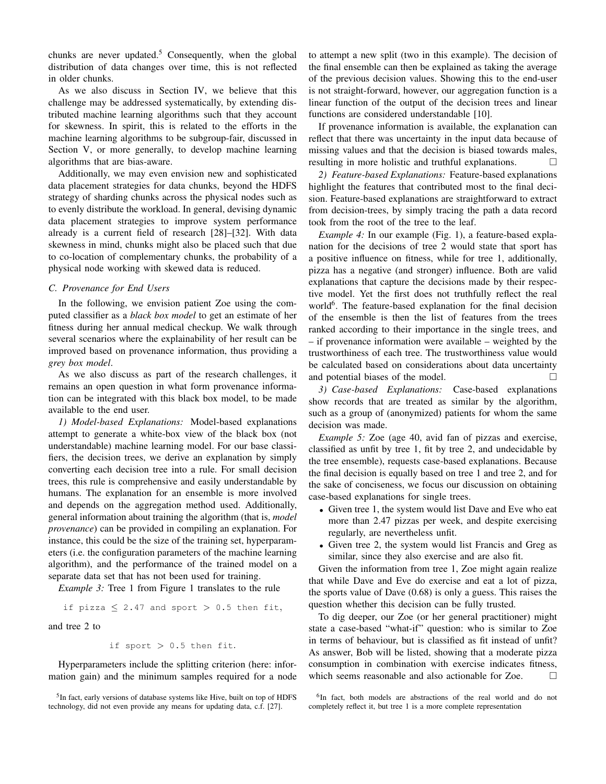chunks are never updated.<sup>5</sup> Consequently, when the global distribution of data changes over time, this is not reflected in older chunks.

As we also discuss in Section IV, we believe that this challenge may be addressed systematically, by extending distributed machine learning algorithms such that they account for skewness. In spirit, this is related to the efforts in the machine learning algorithms to be subgroup-fair, discussed in Section V, or more generally, to develop machine learning algorithms that are bias-aware.

Additionally, we may even envision new and sophisticated data placement strategies for data chunks, beyond the HDFS strategy of sharding chunks across the physical nodes such as to evenly distribute the workload. In general, devising dynamic data placement strategies to improve system performance already is a current field of research [28]–[32]. With data skewness in mind, chunks might also be placed such that due to co-location of complementary chunks, the probability of a physical node working with skewed data is reduced.

## *C. Provenance for End Users*

In the following, we envision patient Zoe using the computed classifier as a *black box model* to get an estimate of her fitness during her annual medical checkup. We walk through several scenarios where the explainability of her result can be improved based on provenance information, thus providing a *grey box model*.

As we also discuss as part of the research challenges, it remains an open question in what form provenance information can be integrated with this black box model, to be made available to the end user.

*1) Model-based Explanations:* Model-based explanations attempt to generate a white-box view of the black box (not understandable) machine learning model. For our base classifiers, the decision trees, we derive an explanation by simply converting each decision tree into a rule. For small decision trees, this rule is comprehensive and easily understandable by humans. The explanation for an ensemble is more involved and depends on the aggregation method used. Additionally, general information about training the algorithm (that is, *model provenance*) can be provided in compiling an explanation. For instance, this could be the size of the training set, hyperparameters (i.e. the configuration parameters of the machine learning algorithm), and the performance of the trained model on a separate data set that has not been used for training.

*Example 3:* Tree 1 from Figure 1 translates to the rule

if pizza  $\leq 2.47$  and sport  $> 0.5$  then fit,

and tree 2 to

if sport 
$$
> 0.5
$$
 then fit.

Hyperparameters include the splitting criterion (here: information gain) and the minimum samples required for a node

to attempt a new split (two in this example). The decision of the final ensemble can then be explained as taking the average of the previous decision values. Showing this to the end-user is not straight-forward, however, our aggregation function is a linear function of the output of the decision trees and linear functions are considered understandable [10].

If provenance information is available, the explanation can reflect that there was uncertainty in the input data because of missing values and that the decision is biased towards males, resulting in more holistic and truthful explanations.

*2) Feature-based Explanations:* Feature-based explanations highlight the features that contributed most to the final decision. Feature-based explanations are straightforward to extract from decision-trees, by simply tracing the path a data record took from the root of the tree to the leaf.

*Example 4:* In our example (Fig. 1), a feature-based explanation for the decisions of tree 2 would state that sport has a positive influence on fitness, while for tree 1, additionally, pizza has a negative (and stronger) influence. Both are valid explanations that capture the decisions made by their respective model. Yet the first does not truthfully reflect the real world<sup>6</sup>. The feature-based explanation for the final decision of the ensemble is then the list of features from the trees ranked according to their importance in the single trees, and – if provenance information were available – weighted by the trustworthiness of each tree. The trustworthiness value would be calculated based on considerations about data uncertainty and potential biases of the model.

*3) Case-based Explanations:* Case-based explanations show records that are treated as similar by the algorithm, such as a group of (anonymized) patients for whom the same decision was made.

*Example 5:* Zoe (age 40, avid fan of pizzas and exercise, classified as unfit by tree 1, fit by tree 2, and undecidable by the tree ensemble), requests case-based explanations. Because the final decision is equally based on tree 1 and tree 2, and for the sake of conciseness, we focus our discussion on obtaining case-based explanations for single trees.

- Given tree 1, the system would list Dave and Eve who eat more than 2.47 pizzas per week, and despite exercising regularly, are nevertheless unfit.
- Given tree 2, the system would list Francis and Greg as similar, since they also exercise and are also fit.

Given the information from tree 1, Zoe might again realize that while Dave and Eve do exercise and eat a lot of pizza, the sports value of Dave (0.68) is only a guess. This raises the question whether this decision can be fully trusted.

To dig deeper, our Zoe (or her general practitioner) might state a case-based "what-if" question: who is similar to Zoe in terms of behaviour, but is classified as fit instead of unfit? As answer, Bob will be listed, showing that a moderate pizza consumption in combination with exercise indicates fitness, which seems reasonable and also actionable for Zoe.  $\Box$ 

<sup>&</sup>lt;sup>5</sup>In fact, early versions of database systems like Hive, built on top of HDFS technology, did not even provide any means for updating data, c.f. [27].

<sup>&</sup>lt;sup>6</sup>In fact, both models are abstractions of the real world and do not completely reflect it, but tree 1 is a more complete representation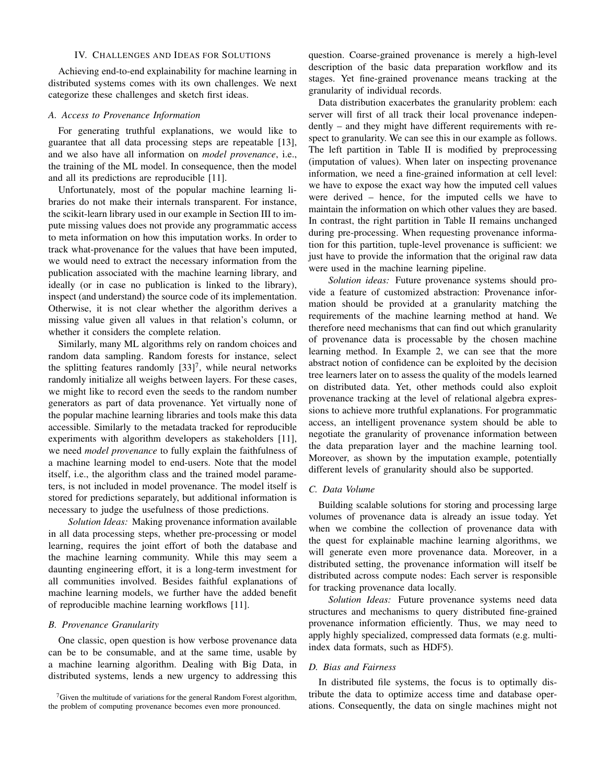## IV. CHALLENGES AND IDEAS FOR SOLUTIONS

Achieving end-to-end explainability for machine learning in distributed systems comes with its own challenges. We next categorize these challenges and sketch first ideas.

## *A. Access to Provenance Information*

For generating truthful explanations, we would like to guarantee that all data processing steps are repeatable [13], and we also have all information on *model provenance*, i.e., the training of the ML model. In consequence, then the model and all its predictions are reproducible [11].

Unfortunately, most of the popular machine learning libraries do not make their internals transparent. For instance, the scikit-learn library used in our example in Section III to impute missing values does not provide any programmatic access to meta information on how this imputation works. In order to track what-provenance for the values that have been imputed, we would need to extract the necessary information from the publication associated with the machine learning library, and ideally (or in case no publication is linked to the library), inspect (and understand) the source code of its implementation. Otherwise, it is not clear whether the algorithm derives a missing value given all values in that relation's column, or whether it considers the complete relation.

Similarly, many ML algorithms rely on random choices and random data sampling. Random forests for instance, select the splitting features randomly  $[33]^{7}$ , while neural networks randomly initialize all weighs between layers. For these cases, we might like to record even the seeds to the random number generators as part of data provenance. Yet virtually none of the popular machine learning libraries and tools make this data accessible. Similarly to the metadata tracked for reproducible experiments with algorithm developers as stakeholders [11], we need *model provenance* to fully explain the faithfulness of a machine learning model to end-users. Note that the model itself, i.e., the algorithm class and the trained model parameters, is not included in model provenance. The model itself is stored for predictions separately, but additional information is necessary to judge the usefulness of those predictions.

*Solution Ideas:* Making provenance information available in all data processing steps, whether pre-processing or model learning, requires the joint effort of both the database and the machine learning community. While this may seem a daunting engineering effort, it is a long-term investment for all communities involved. Besides faithful explanations of machine learning models, we further have the added benefit of reproducible machine learning workflows [11].

## *B. Provenance Granularity*

One classic, open question is how verbose provenance data can be to be consumable, and at the same time, usable by a machine learning algorithm. Dealing with Big Data, in distributed systems, lends a new urgency to addressing this

question. Coarse-grained provenance is merely a high-level description of the basic data preparation workflow and its stages. Yet fine-grained provenance means tracking at the granularity of individual records.

Data distribution exacerbates the granularity problem: each server will first of all track their local provenance independently – and they might have different requirements with respect to granularity. We can see this in our example as follows. The left partition in Table II is modified by preprocessing (imputation of values). When later on inspecting provenance information, we need a fine-grained information at cell level: we have to expose the exact way how the imputed cell values were derived – hence, for the imputed cells we have to maintain the information on which other values they are based. In contrast, the right partition in Table II remains unchanged during pre-processing. When requesting provenance information for this partition, tuple-level provenance is sufficient: we just have to provide the information that the original raw data were used in the machine learning pipeline.

*Solution ideas:* Future provenance systems should provide a feature of customized abstraction: Provenance information should be provided at a granularity matching the requirements of the machine learning method at hand. We therefore need mechanisms that can find out which granularity of provenance data is processable by the chosen machine learning method. In Example 2, we can see that the more abstract notion of confidence can be exploited by the decision tree learners later on to assess the quality of the models learned on distributed data. Yet, other methods could also exploit provenance tracking at the level of relational algebra expressions to achieve more truthful explanations. For programmatic access, an intelligent provenance system should be able to negotiate the granularity of provenance information between the data preparation layer and the machine learning tool. Moreover, as shown by the imputation example, potentially different levels of granularity should also be supported.

# *C. Data Volume*

Building scalable solutions for storing and processing large volumes of provenance data is already an issue today. Yet when we combine the collection of provenance data with the quest for explainable machine learning algorithms, we will generate even more provenance data. Moreover, in a distributed setting, the provenance information will itself be distributed across compute nodes: Each server is responsible for tracking provenance data locally.

*Solution Ideas:* Future provenance systems need data structures and mechanisms to query distributed fine-grained provenance information efficiently. Thus, we may need to apply highly specialized, compressed data formats (e.g. multiindex data formats, such as HDF5).

## *D. Bias and Fairness*

In distributed file systems, the focus is to optimally distribute the data to optimize access time and database operations. Consequently, the data on single machines might not

 $7$ Given the multitude of variations for the general Random Forest algorithm, the problem of computing provenance becomes even more pronounced.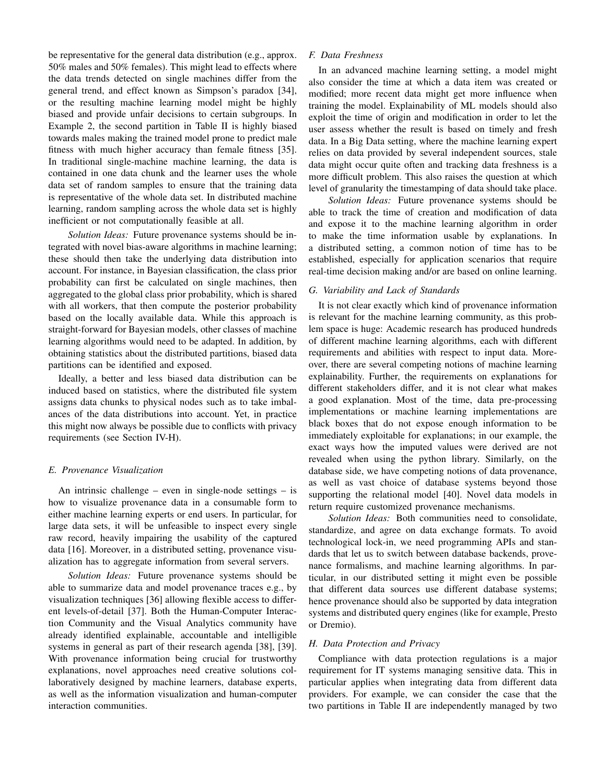be representative for the general data distribution (e.g., approx. 50% males and 50% females). This might lead to effects where the data trends detected on single machines differ from the general trend, and effect known as Simpson's paradox [34], or the resulting machine learning model might be highly biased and provide unfair decisions to certain subgroups. In Example 2, the second partition in Table II is highly biased towards males making the trained model prone to predict male fitness with much higher accuracy than female fitness [35]. In traditional single-machine machine learning, the data is contained in one data chunk and the learner uses the whole data set of random samples to ensure that the training data is representative of the whole data set. In distributed machine learning, random sampling across the whole data set is highly inefficient or not computationally feasible at all.

*Solution Ideas:* Future provenance systems should be integrated with novel bias-aware algorithms in machine learning; these should then take the underlying data distribution into account. For instance, in Bayesian classification, the class prior probability can first be calculated on single machines, then aggregated to the global class prior probability, which is shared with all workers, that then compute the posterior probability based on the locally available data. While this approach is straight-forward for Bayesian models, other classes of machine learning algorithms would need to be adapted. In addition, by obtaining statistics about the distributed partitions, biased data partitions can be identified and exposed.

Ideally, a better and less biased data distribution can be induced based on statistics, where the distributed file system assigns data chunks to physical nodes such as to take imbalances of the data distributions into account. Yet, in practice this might now always be possible due to conflicts with privacy requirements (see Section IV-H).

### *E. Provenance Visualization*

An intrinsic challenge – even in single-node settings – is how to visualize provenance data in a consumable form to either machine learning experts or end users. In particular, for large data sets, it will be unfeasible to inspect every single raw record, heavily impairing the usability of the captured data [16]. Moreover, in a distributed setting, provenance visualization has to aggregate information from several servers.

*Solution Ideas:* Future provenance systems should be able to summarize data and model provenance traces e.g., by visualization techniques [36] allowing flexible access to different levels-of-detail [37]. Both the Human-Computer Interaction Community and the Visual Analytics community have already identified explainable, accountable and intelligible systems in general as part of their research agenda [38], [39]. With provenance information being crucial for trustworthy explanations, novel approaches need creative solutions collaboratively designed by machine learners, database experts, as well as the information visualization and human-computer interaction communities.

# *F. Data Freshness*

In an advanced machine learning setting, a model might also consider the time at which a data item was created or modified; more recent data might get more influence when training the model. Explainability of ML models should also exploit the time of origin and modification in order to let the user assess whether the result is based on timely and fresh data. In a Big Data setting, where the machine learning expert relies on data provided by several independent sources, stale data might occur quite often and tracking data freshness is a more difficult problem. This also raises the question at which level of granularity the timestamping of data should take place.

*Solution Ideas:* Future provenance systems should be able to track the time of creation and modification of data and expose it to the machine learning algorithm in order to make the time information usable by explanations. In a distributed setting, a common notion of time has to be established, especially for application scenarios that require real-time decision making and/or are based on online learning.

## *G. Variability and Lack of Standards*

It is not clear exactly which kind of provenance information is relevant for the machine learning community, as this problem space is huge: Academic research has produced hundreds of different machine learning algorithms, each with different requirements and abilities with respect to input data. Moreover, there are several competing notions of machine learning explainability. Further, the requirements on explanations for different stakeholders differ, and it is not clear what makes a good explanation. Most of the time, data pre-processing implementations or machine learning implementations are black boxes that do not expose enough information to be immediately exploitable for explanations; in our example, the exact ways how the imputed values were derived are not revealed when using the python library. Similarly, on the database side, we have competing notions of data provenance, as well as vast choice of database systems beyond those supporting the relational model [40]. Novel data models in return require customized provenance mechanisms.

*Solution Ideas:* Both communities need to consolidate, standardize, and agree on data exchange formats. To avoid technological lock-in, we need programming APIs and standards that let us to switch between database backends, provenance formalisms, and machine learning algorithms. In particular, in our distributed setting it might even be possible that different data sources use different database systems; hence provenance should also be supported by data integration systems and distributed query engines (like for example, Presto or Dremio).

## *H. Data Protection and Privacy*

Compliance with data protection regulations is a major requirement for IT systems managing sensitive data. This in particular applies when integrating data from different data providers. For example, we can consider the case that the two partitions in Table II are independently managed by two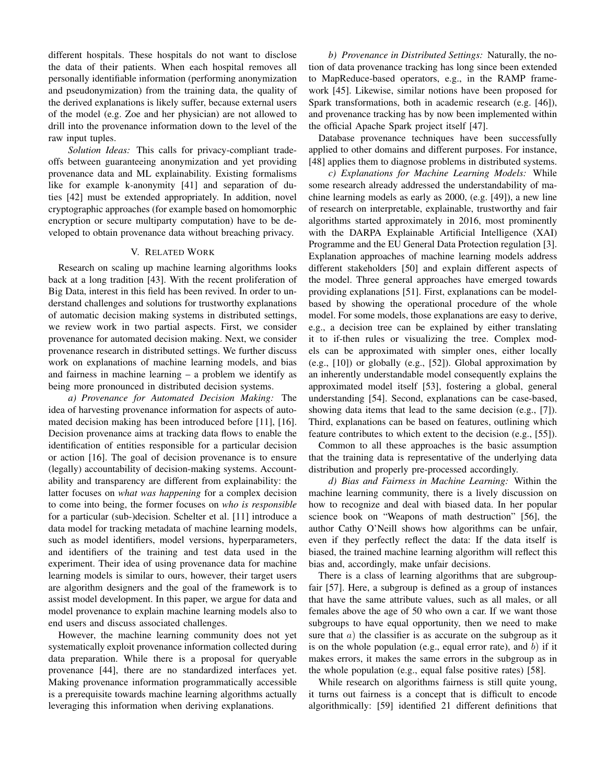different hospitals. These hospitals do not want to disclose the data of their patients. When each hospital removes all personally identifiable information (performing anonymization and pseudonymization) from the training data, the quality of the derived explanations is likely suffer, because external users of the model (e.g. Zoe and her physician) are not allowed to drill into the provenance information down to the level of the raw input tuples.

*Solution Ideas:* This calls for privacy-compliant tradeoffs between guaranteeing anonymization and yet providing provenance data and ML explainability. Existing formalisms like for example k-anonymity [41] and separation of duties [42] must be extended appropriately. In addition, novel cryptographic approaches (for example based on homomorphic encryption or secure multiparty computation) have to be developed to obtain provenance data without breaching privacy.

## V. RELATED WORK

Research on scaling up machine learning algorithms looks back at a long tradition [43]. With the recent proliferation of Big Data, interest in this field has been revived. In order to understand challenges and solutions for trustworthy explanations of automatic decision making systems in distributed settings, we review work in two partial aspects. First, we consider provenance for automated decision making. Next, we consider provenance research in distributed settings. We further discuss work on explanations of machine learning models, and bias and fairness in machine learning – a problem we identify as being more pronounced in distributed decision systems.

*a) Provenance for Automated Decision Making:* The idea of harvesting provenance information for aspects of automated decision making has been introduced before [11], [16]. Decision provenance aims at tracking data flows to enable the identification of entities responsible for a particular decision or action [16]. The goal of decision provenance is to ensure (legally) accountability of decision-making systems. Accountability and transparency are different from explainability: the latter focuses on *what was happening* for a complex decision to come into being, the former focuses on *who is responsible* for a particular (sub-)decision. Schelter et al. [11] introduce a data model for tracking metadata of machine learning models, such as model identifiers, model versions, hyperparameters, and identifiers of the training and test data used in the experiment. Their idea of using provenance data for machine learning models is similar to ours, however, their target users are algorithm designers and the goal of the framework is to assist model development. In this paper, we argue for data and model provenance to explain machine learning models also to end users and discuss associated challenges.

However, the machine learning community does not yet systematically exploit provenance information collected during data preparation. While there is a proposal for queryable provenance [44], there are no standardized interfaces yet. Making provenance information programmatically accessible is a prerequisite towards machine learning algorithms actually leveraging this information when deriving explanations.

*b) Provenance in Distributed Settings:* Naturally, the notion of data provenance tracking has long since been extended to MapReduce-based operators, e.g., in the RAMP framework [45]. Likewise, similar notions have been proposed for Spark transformations, both in academic research (e.g. [46]), and provenance tracking has by now been implemented within the official Apache Spark project itself [47].

Database provenance techniques have been successfully applied to other domains and different purposes. For instance, [48] applies them to diagnose problems in distributed systems.

*c) Explanations for Machine Learning Models:* While some research already addressed the understandability of machine learning models as early as 2000, (e.g. [49]), a new line of research on interpretable, explainable, trustworthy and fair algorithms started approximately in 2016, most prominently with the DARPA Explainable Artificial Intelligence (XAI) Programme and the EU General Data Protection regulation [3]. Explanation approaches of machine learning models address different stakeholders [50] and explain different aspects of the model. Three general approaches have emerged towards providing explanations [51]. First, explanations can be modelbased by showing the operational procedure of the whole model. For some models, those explanations are easy to derive, e.g., a decision tree can be explained by either translating it to if-then rules or visualizing the tree. Complex models can be approximated with simpler ones, either locally (e.g., [10]) or globally (e.g., [52]). Global approximation by an inherently understandable model consequently explains the approximated model itself [53], fostering a global, general understanding [54]. Second, explanations can be case-based, showing data items that lead to the same decision (e.g., [7]). Third, explanations can be based on features, outlining which feature contributes to which extent to the decision (e.g., [55]).

Common to all these approaches is the basic assumption that the training data is representative of the underlying data distribution and properly pre-processed accordingly.

*d) Bias and Fairness in Machine Learning:* Within the machine learning community, there is a lively discussion on how to recognize and deal with biased data. In her popular science book on "Weapons of math destruction" [56], the author Cathy O'Neill shows how algorithms can be unfair, even if they perfectly reflect the data: If the data itself is biased, the trained machine learning algorithm will reflect this bias and, accordingly, make unfair decisions.

There is a class of learning algorithms that are subgroupfair [57]. Here, a subgroup is defined as a group of instances that have the same attribute values, such as all males, or all females above the age of 50 who own a car. If we want those subgroups to have equal opportunity, then we need to make sure that  $a$ ) the classifier is as accurate on the subgroup as it is on the whole population (e.g., equal error rate), and  $b$ ) if it makes errors, it makes the same errors in the subgroup as in the whole population (e.g., equal false positive rates) [58].

While research on algorithms fairness is still quite young, it turns out fairness is a concept that is difficult to encode algorithmically: [59] identified 21 different definitions that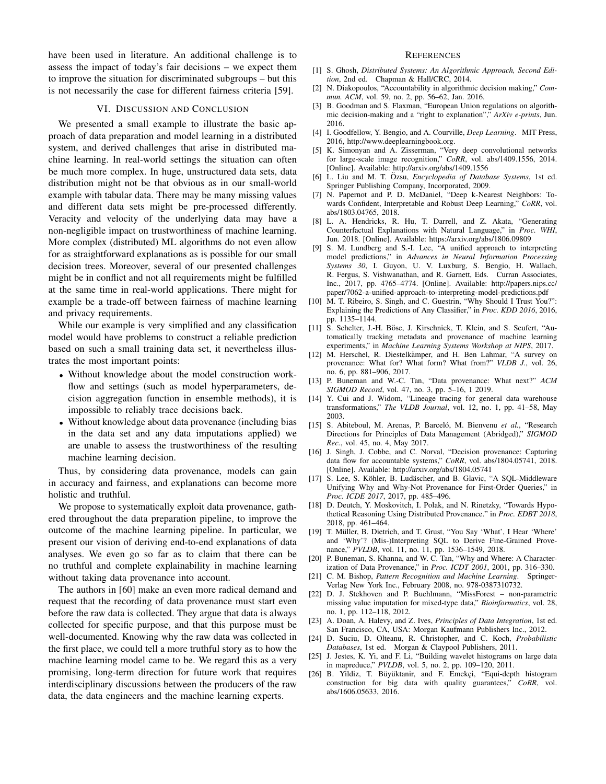have been used in literature. An additional challenge is to assess the impact of today's fair decisions – we expect them to improve the situation for discriminated subgroups – but this is not necessarily the case for different fairness criteria [59].

#### VI. DISCUSSION AND CONCLUSION

We presented a small example to illustrate the basic approach of data preparation and model learning in a distributed system, and derived challenges that arise in distributed machine learning. In real-world settings the situation can often be much more complex. In huge, unstructured data sets, data distribution might not be that obvious as in our small-world example with tabular data. There may be many missing values and different data sets might be pre-processed differently. Veracity and velocity of the underlying data may have a non-negligible impact on trustworthiness of machine learning. More complex (distributed) ML algorithms do not even allow for as straightforward explanations as is possible for our small decision trees. Moreover, several of our presented challenges might be in conflict and not all requirements might be fulfilled at the same time in real-world applications. There might for example be a trade-off between fairness of machine learning and privacy requirements.

While our example is very simplified and any classification model would have problems to construct a reliable prediction based on such a small training data set, it nevertheless illustrates the most important points:

- Without knowledge about the model construction workflow and settings (such as model hyperparameters, decision aggregation function in ensemble methods), it is impossible to reliably trace decisions back.
- Without knowledge about data provenance (including bias in the data set and any data imputations applied) we are unable to assess the trustworthiness of the resulting machine learning decision.

Thus, by considering data provenance, models can gain in accuracy and fairness, and explanations can become more holistic and truthful.

We propose to systematically exploit data provenance, gathered throughout the data preparation pipeline, to improve the outcome of the machine learning pipeline. In particular, we present our vision of deriving end-to-end explanations of data analyses. We even go so far as to claim that there can be no truthful and complete explainability in machine learning without taking data provenance into account.

The authors in [60] make an even more radical demand and request that the recording of data provenance must start even before the raw data is collected. They argue that data is always collected for specific purpose, and that this purpose must be well-documented. Knowing why the raw data was collected in the first place, we could tell a more truthful story as to how the machine learning model came to be. We regard this as a very promising, long-term direction for future work that requires interdisciplinary discussions between the producers of the raw data, the data engineers and the machine learning experts.

#### **REFERENCES**

- [1] S. Ghosh, *Distributed Systems: An Algorithmic Approach, Second Edition*, 2nd ed. Chapman & Hall/CRC, 2014.
- [2] N. Diakopoulos, "Accountability in algorithmic decision making," *Commun. ACM*, vol. 59, no. 2, pp. 56–62, Jan. 2016.
- [3] B. Goodman and S. Flaxman, "European Union regulations on algorithmic decision-making and a "right to explanation"," *ArXiv e-prints*, Jun. 2016.
- [4] I. Goodfellow, Y. Bengio, and A. Courville, *Deep Learning*. MIT Press, 2016, http://www.deeplearningbook.org.
- [5] K. Simonyan and A. Zisserman, "Very deep convolutional networks for large-scale image recognition," *CoRR*, vol. abs/1409.1556, 2014. [Online]. Available: http://arxiv.org/abs/1409.1556
- [6] L. Liu and M. T. Özsu, *Encyclopedia of Database Systems*, 1st ed. Springer Publishing Company, Incorporated, 2009.
- [7] N. Papernot and P. D. McDaniel, "Deep k-Nearest Neighbors: Towards Confident, Interpretable and Robust Deep Learning," *CoRR*, vol. abs/1803.04765, 2018.
- [8] L. A. Hendricks, R. Hu, T. Darrell, and Z. Akata, "Generating Counterfactual Explanations with Natural Language," in *Proc. WHI*, Jun. 2018. [Online]. Available: https://arxiv.org/abs/1806.09809
- [9] S. M. Lundberg and S.-I. Lee, "A unified approach to interpreting model predictions," in *Advances in Neural Information Processing Systems 30*, I. Guyon, U. V. Luxburg, S. Bengio, H. Wallach, R. Fergus, S. Vishwanathan, and R. Garnett, Eds. Curran Associates, Inc., 2017, pp. 4765–4774. [Online]. Available: http://papers.nips.cc/ paper/7062-a-unified-approach-to-interpreting-model-predictions.pdf
- [10] M. T. Ribeiro, S. Singh, and C. Guestrin, "Why Should I Trust You?": Explaining the Predictions of Any Classifier," in *Proc. KDD 2016*, 2016, pp. 1135–1144.
- [11] S. Schelter, J.-H. Böse, J. Kirschnick, T. Klein, and S. Seufert, "Automatically tracking metadata and provenance of machine learning experiments," in *Machine Learning Systems Workshop at NIPS*, 2017.
- [12] M. Herschel, R. Diestelkämper, and H. Ben Lahmar, "A survey on provenance: What for? What form? What from?" *VLDB J.*, vol. 26, no. 6, pp. 881–906, 2017.
- [13] P. Buneman and W.-C. Tan, "Data provenance: What next?" *ACM SIGMOD Record*, vol. 47, no. 3, pp. 5–16, 1 2019.
- [14] Y. Cui and J. Widom, "Lineage tracing for general data warehouse transformations," *The VLDB Journal*, vol. 12, no. 1, pp. 41–58, May 2003.
- [15] S. Abiteboul, M. Arenas, P. Barceló, M. Bienvenu et al., "Research Directions for Principles of Data Management (Abridged)," *SIGMOD Rec.*, vol. 45, no. 4, May 2017.
- [16] J. Singh, J. Cobbe, and C. Norval, "Decision provenance: Capturing data flow for accountable systems," *CoRR*, vol. abs/1804.05741, 2018. [Online]. Available: http://arxiv.org/abs/1804.05741
- [17] S. Lee, S. Köhler, B. Ludäscher, and B. Glavic, "A SQL-Middleware Unifying Why and Why-Not Provenance for First-Order Queries," in *Proc. ICDE 2017*, 2017, pp. 485–496.
- [18] D. Deutch, Y. Moskovitch, I. Polak, and N. Rinetzky, "Towards Hypothetical Reasoning Using Distributed Provenance." in *Proc. EDBT 2018*, 2018, pp. 461–464.
- [19] T. Müller, B. Dietrich, and T. Grust, "You Say 'What', I Hear 'Where' and 'Why'? (Mis-)Interpreting SQL to Derive Fine-Grained Provenance," *PVLDB*, vol. 11, no. 11, pp. 1536–1549, 2018.
- [20] P. Buneman, S. Khanna, and W. C. Tan, "Why and Where: A Characterization of Data Provenance," in *Proc. ICDT 2001*, 2001, pp. 316–330.
- [21] C. M. Bishop, *Pattern Recognition and Machine Learning*. Springer-Verlag New York Inc., February 2008, no. 978-0387310732.
- [22] D. J. Stekhoven and P. Buehlmann, "MissForest non-parametric missing value imputation for mixed-type data," *Bioinformatics*, vol. 28, no. 1, pp. 112–118, 2012.
- [23] A. Doan, A. Halevy, and Z. Ives, *Principles of Data Integration*, 1st ed. San Francisco, CA, USA: Morgan Kaufmann Publishers Inc., 2012.
- [24] D. Suciu, D. Olteanu, R. Christopher, and C. Koch, *Probabilistic Databases*, 1st ed. Morgan & Claypool Publishers, 2011.
- [25] J. Jestes, K. Yi, and F. Li, "Building wavelet histograms on large data in mapreduce," *PVLDB*, vol. 5, no. 2, pp. 109–120, 2011.
- [26] B. Yildiz, T. Büyüktanir, and F. Emekçi, "Equi-depth histogram construction for big data with quality guarantees," *CoRR*, vol. abs/1606.05633, 2016.